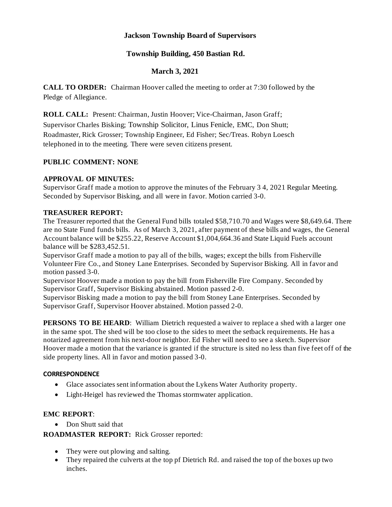## **Jackson Township Board of Supervisors**

## **Township Building, 450 Bastian Rd.**

## **March 3, 2021**

**CALL TO ORDER:** Chairman Hoover called the meeting to order at 7:30 followed by the Pledge of Allegiance.

**ROLL CALL:** Present: Chairman, Justin Hoover; Vice-Chairman, Jason Graff;

Supervisor Charles Bisking; Township Solicitor, Linus Fenicle, EMC, Don Shutt; Roadmaster, Rick Grosser; Township Engineer, Ed Fisher; Sec/Treas. Robyn Loesch telephoned in to the meeting. There were seven citizens present.

## **PUBLIC COMMENT: NONE**

## **APPROVAL OF MINUTES:**

Supervisor Graff made a motion to approve the minutes of the February 3 4, 2021 Regular Meeting. Seconded by Supervisor Bisking, and all were in favor. Motion carried 3-0.

## **TREASURER REPORT:**

The Treasurer reported that the General Fund bills totaled \$58,710.70 and Wages were \$8,649.64. There are no State Fund funds bills. As of March 3, 2021, after payment of these bills and wages, the General Account balance will be \$255.22, Reserve Account \$1,004,664.36 and State Liquid Fuels account balance will be \$283,452.51.

Supervisor Graff made a motion to pay all of the bills, wages; except the bills from Fisherville Volunteer Fire Co., and Stoney Lane Enterprises. Seconded by Supervisor Bisking. All in favor and motion passed 3-0.

Supervisor Hoover made a motion to pay the bill from Fisherville Fire Company. Seconded by Supervisor Graff, Supervisor Bisking abstained. Motion passed 2-0.

Supervisor Bisking made a motion to pay the bill from Stoney Lane Enterprises. Seconded by Supervisor Graff, Supervisor Hoover abstained. Motion passed 2-0.

**PERSONS TO BE HEARD:** William Dietrich requested a waiver to replace a shed with a larger one in the same spot. The shed will be too close to the sides to meet the setback requirements. He has a notarized agreement from his next-door neighbor. Ed Fisher will need to see a sketch. Supervisor Hoover made a motion that the variance is granted if the structure is sited no less than five feet off of the side property lines. All in favor and motion passed 3-0.

## **CORRESPONDENCE**

- Glace associates sent information about the Lykens Water Authority property.
- Light-Heigel has reviewed the Thomas stormwater application.

# **EMC REPORT**:

• Don Shutt said that

**ROADMASTER REPORT:** Rick Grosser reported:

- They were out plowing and salting.
- They repaired the culverts at the top pf Dietrich Rd. and raised the top of the boxes up two inches.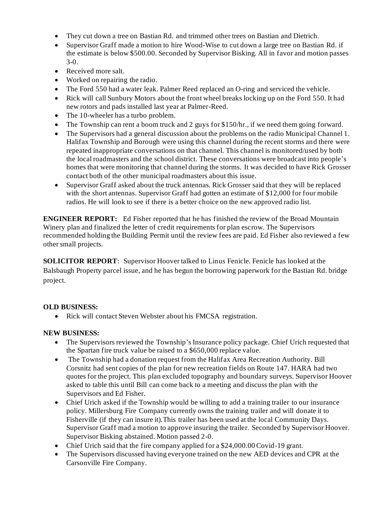- They cut down a tree on Bastian Rd. and trimmed other trees on Bastian and Dietrich.
- Supervisor Graff made a motion to hire Wood-Wise to cut down a large tree on Bastian Rd. if the estimate is below \$500.00. Seconded by Supervisor Bisking. All in favor and motion passes 3-0.
- Received more salt.
- Worked on repairing the radio.
- The Ford 550 had a water leak. Palmer Reed replaced an O-ring and serviced the vehicle.
- Rick will call Sunbury Motors about the front wheel breaks locking up on the Ford 550. It had new rotors and pads installed last year at Palmer-Reed.
- The 10-wheeler has a turbo problem.
- The Township can rent a boom truck and 2 guys for \$150/hr., if we need them going forward.
- The Supervisors had a general discussion about the problems on the radio Municipal Channel 1. Halifax Township and Borough were using this channel during the recent storms and there were repeated inappropriate conversations on that channel. This channel is monitored/used by both the local roadmasters and the school district. These conversations were broadcast into people's homes that were monitoring that channel during the storms. It was decided to have Rick Grosser contact both of the other municipal roadmasters about this issue.
- Supervisor Graff asked about the truck antennas. Rick Grosser said that they will be replaced with the short antennas. Supervisor Graff had gotten an estimate of \$12,000 for four mobile radios. He will look to see if there is a better choice on the new approved radio list.

**ENGINEER REPORT:** Ed Fisher reported that he has finished the review of the Broad Mountain Winery plan and finalized the letter of credit requirements for plan escrow. The Supervisors recommended holding the Building Permit until the review fees are paid. Ed Fisher also reviewed a few other small projects.

**SOLICITOR REPORT**: Supervisor Hoover talked to Linus Fenicle. Fenicle has looked at the Balsbaugh Property parcel issue, and he has begun the borrowing paperwork for the Bastian Rd. bridge project.

#### **OLD BUSINESS:**

• Rick will contact Steven Webster about his FMCSA registration.

#### **NEW BUSINESS:**

- The Supervisors reviewed the Township's Insurance policy package. Chief Urich requested that the Spartan fire truck value be raised to a \$650,000 replace value.
- The Township had a donation request from the Halifax Area Recreation Authority. Bill Corsnitz had sent copies of the plan for new recreation fields on Route 147. HARA had two quotes for the project. This plan excluded topography and boundary surveys. Supervisor Hoover asked to table this until Bill can come back to a meeting and discuss the plan with the Supervisors and Ed Fisher.
- Chief Urich asked if the Township would be willing to add a training trailer to our insurance policy. Millersburg Fire Company currently owns the training trailer and will donate it to Fisherville (if they can insure it).This trailer has been used at the local Community Days. Supervisor Graff mad a motion to approve insuring the trailer. Seconded by Supervisor Hoover. Supervisor Bisking abstained. Motion passed 2-0.
- Chief Urich said that the fire company applied for a \$24,000.00 Covid-19 grant.
- The Supervisors discussed having everyone trained on the new AED devices and CPR at the Carsonville Fire Company.